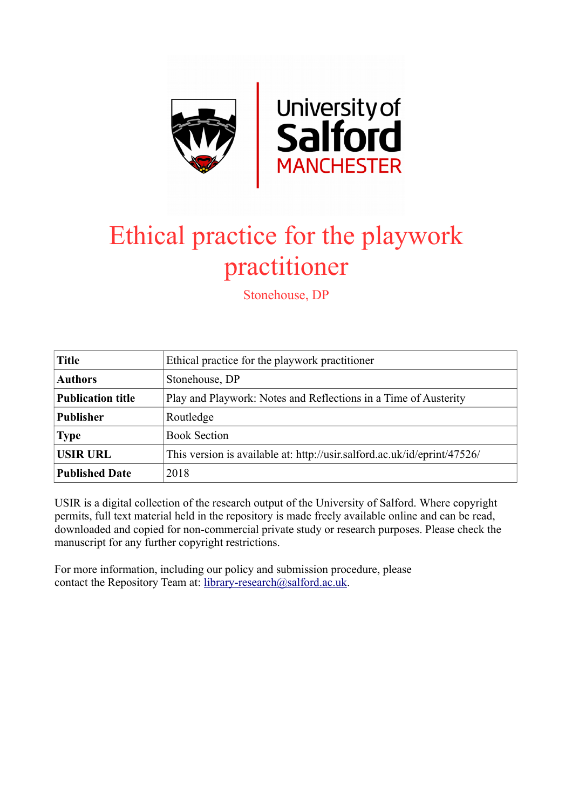

# Ethical practice for the playwork practitioner

Stonehouse, DP

| <b>Title</b>             | Ethical practice for the playwork practitioner                           |
|--------------------------|--------------------------------------------------------------------------|
| <b>Authors</b>           | Stonehouse, DP                                                           |
| <b>Publication title</b> | Play and Playwork: Notes and Reflections in a Time of Austerity          |
| <b>Publisher</b>         | Routledge                                                                |
| <b>Type</b>              | <b>Book Section</b>                                                      |
| <b>USIR URL</b>          | This version is available at: http://usir.salford.ac.uk/id/eprint/47526/ |
| <b>Published Date</b>    | 2018                                                                     |

USIR is a digital collection of the research output of the University of Salford. Where copyright permits, full text material held in the repository is made freely available online and can be read, downloaded and copied for non-commercial private study or research purposes. Please check the manuscript for any further copyright restrictions.

For more information, including our policy and submission procedure, please contact the Repository Team at: [library-research@salford.ac.uk.](mailto:library-research@salford.ac.uk)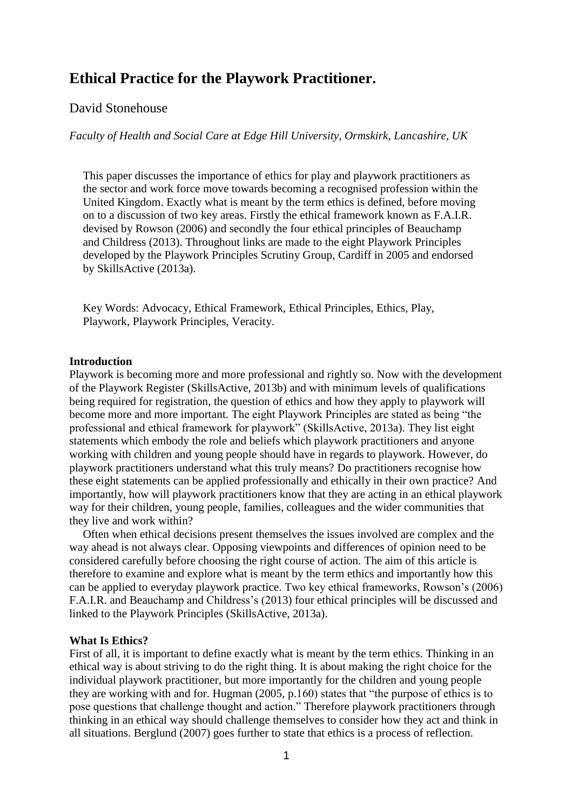# **Ethical Practice for the Playwork Practitioner.**

# David Stonehouse

## *Faculty of Health and Social Care at Edge Hill University, Ormskirk, Lancashire, UK*

This paper discusses the importance of ethics for play and playwork practitioners as the sector and work force move towards becoming a recognised profession within the United Kingdom. Exactly what is meant by the term ethics is defined, before moving on to a discussion of two key areas. Firstly the ethical framework known as F.A.I.R. devised by Rowson (2006) and secondly the four ethical principles of Beauchamp and Childress (2013). Throughout links are made to the eight Playwork Principles developed by the Playwork Principles Scrutiny Group, Cardiff in 2005 and endorsed by SkillsActive (2013a).

Key Words: Advocacy, Ethical Framework, Ethical Principles, Ethics, Play, Playwork, Playwork Principles, Veracity.

### **Introduction**

Playwork is becoming more and more professional and rightly so. Now with the development of the Playwork Register (SkillsActive, 2013b) and with minimum levels of qualifications being required for registration, the question of ethics and how they apply to playwork will become more and more important. The eight Playwork Principles are stated as being "the professional and ethical framework for playwork" (SkillsActive, 2013a). They list eight statements which embody the role and beliefs which playwork practitioners and anyone working with children and young people should have in regards to playwork. However, do playwork practitioners understand what this truly means? Do practitioners recognise how these eight statements can be applied professionally and ethically in their own practice? And importantly, how will playwork practitioners know that they are acting in an ethical playwork way for their children, young people, families, colleagues and the wider communities that they live and work within?

Often when ethical decisions present themselves the issues involved are complex and the way ahead is not always clear. Opposing viewpoints and differences of opinion need to be considered carefully before choosing the right course of action. The aim of this article is therefore to examine and explore what is meant by the term ethics and importantly how this can be applied to everyday playwork practice. Two key ethical frameworks, Rowson's (2006) F.A.I.R. and Beauchamp and Childress's (2013) four ethical principles will be discussed and linked to the Playwork Principles (SkillsActive, 2013a).

#### **What Is Ethics?**

First of all, it is important to define exactly what is meant by the term ethics. Thinking in an ethical way is about striving to do the right thing. It is about making the right choice for the individual playwork practitioner, but more importantly for the children and young people they are working with and for. Hugman (2005, p.160) states that "the purpose of ethics is to pose questions that challenge thought and action." Therefore playwork practitioners through thinking in an ethical way should challenge themselves to consider how they act and think in all situations. Berglund (2007) goes further to state that ethics is a process of reflection.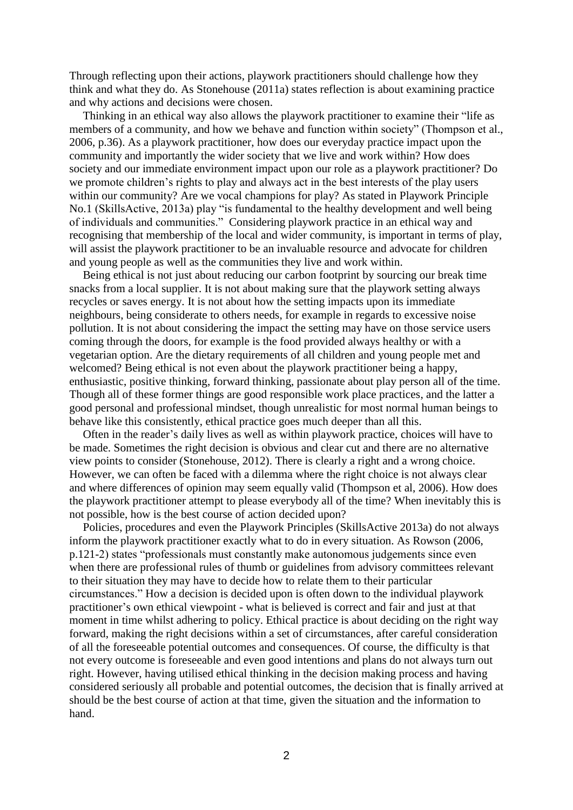Through reflecting upon their actions, playwork practitioners should challenge how they think and what they do. As Stonehouse (2011a) states reflection is about examining practice and why actions and decisions were chosen.

Thinking in an ethical way also allows the playwork practitioner to examine their "life as members of a community, and how we behave and function within society" (Thompson et al., 2006, p.36). As a playwork practitioner, how does our everyday practice impact upon the community and importantly the wider society that we live and work within? How does society and our immediate environment impact upon our role as a playwork practitioner? Do we promote children's rights to play and always act in the best interests of the play users within our community? Are we vocal champions for play? As stated in Playwork Principle No.1 (SkillsActive, 2013a) play "is fundamental to the healthy development and well being of individuals and communities." Considering playwork practice in an ethical way and recognising that membership of the local and wider community, is important in terms of play, will assist the playwork practitioner to be an invaluable resource and advocate for children and young people as well as the communities they live and work within.

Being ethical is not just about reducing our carbon footprint by sourcing our break time snacks from a local supplier. It is not about making sure that the playwork setting always recycles or saves energy. It is not about how the setting impacts upon its immediate neighbours, being considerate to others needs, for example in regards to excessive noise pollution. It is not about considering the impact the setting may have on those service users coming through the doors, for example is the food provided always healthy or with a vegetarian option. Are the dietary requirements of all children and young people met and welcomed? Being ethical is not even about the playwork practitioner being a happy, enthusiastic, positive thinking, forward thinking, passionate about play person all of the time. Though all of these former things are good responsible work place practices, and the latter a good personal and professional mindset, though unrealistic for most normal human beings to behave like this consistently, ethical practice goes much deeper than all this.

Often in the reader's daily lives as well as within playwork practice, choices will have to be made. Sometimes the right decision is obvious and clear cut and there are no alternative view points to consider (Stonehouse, 2012). There is clearly a right and a wrong choice. However, we can often be faced with a dilemma where the right choice is not always clear and where differences of opinion may seem equally valid (Thompson et al, 2006). How does the playwork practitioner attempt to please everybody all of the time? When inevitably this is not possible, how is the best course of action decided upon?

Policies, procedures and even the Playwork Principles (SkillsActive 2013a) do not always inform the playwork practitioner exactly what to do in every situation. As Rowson (2006, p.121-2) states "professionals must constantly make autonomous judgements since even when there are professional rules of thumb or guidelines from advisory committees relevant to their situation they may have to decide how to relate them to their particular circumstances." How a decision is decided upon is often down to the individual playwork practitioner's own ethical viewpoint - what is believed is correct and fair and just at that moment in time whilst adhering to policy. Ethical practice is about deciding on the right way forward, making the right decisions within a set of circumstances, after careful consideration of all the foreseeable potential outcomes and consequences. Of course, the difficulty is that not every outcome is foreseeable and even good intentions and plans do not always turn out right. However, having utilised ethical thinking in the decision making process and having considered seriously all probable and potential outcomes, the decision that is finally arrived at should be the best course of action at that time, given the situation and the information to hand.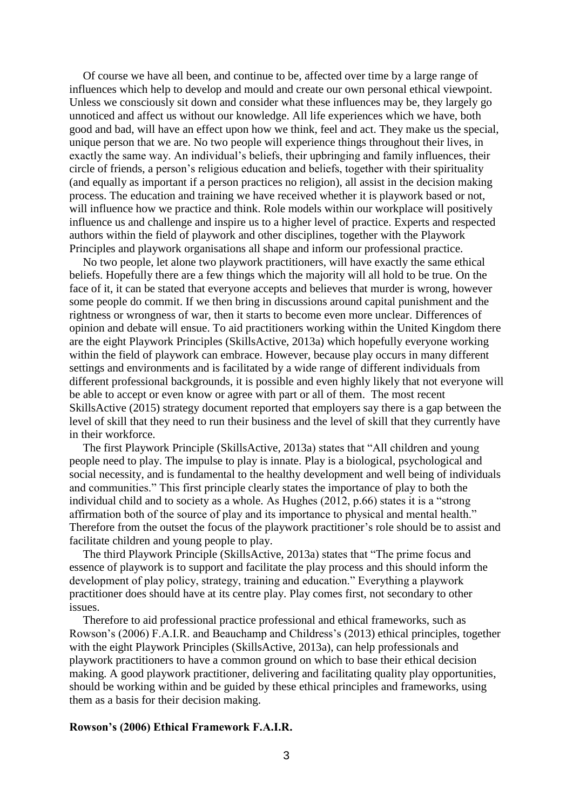Of course we have all been, and continue to be, affected over time by a large range of influences which help to develop and mould and create our own personal ethical viewpoint. Unless we consciously sit down and consider what these influences may be, they largely go unnoticed and affect us without our knowledge. All life experiences which we have, both good and bad, will have an effect upon how we think, feel and act. They make us the special, unique person that we are. No two people will experience things throughout their lives, in exactly the same way. An individual's beliefs, their upbringing and family influences, their circle of friends, a person's religious education and beliefs, together with their spirituality (and equally as important if a person practices no religion), all assist in the decision making process. The education and training we have received whether it is playwork based or not, will influence how we practice and think. Role models within our workplace will positively influence us and challenge and inspire us to a higher level of practice. Experts and respected authors within the field of playwork and other disciplines, together with the Playwork Principles and playwork organisations all shape and inform our professional practice.

No two people, let alone two playwork practitioners, will have exactly the same ethical beliefs. Hopefully there are a few things which the majority will all hold to be true. On the face of it, it can be stated that everyone accepts and believes that murder is wrong, however some people do commit. If we then bring in discussions around capital punishment and the rightness or wrongness of war, then it starts to become even more unclear. Differences of opinion and debate will ensue. To aid practitioners working within the United Kingdom there are the eight Playwork Principles (SkillsActive, 2013a) which hopefully everyone working within the field of playwork can embrace. However, because play occurs in many different settings and environments and is facilitated by a wide range of different individuals from different professional backgrounds, it is possible and even highly likely that not everyone will be able to accept or even know or agree with part or all of them. The most recent SkillsActive (2015) strategy document reported that employers say there is a gap between the level of skill that they need to run their business and the level of skill that they currently have in their workforce.

The first Playwork Principle (SkillsActive, 2013a) states that "All children and young people need to play. The impulse to play is innate. Play is a biological, psychological and social necessity, and is fundamental to the healthy development and well being of individuals and communities." This first principle clearly states the importance of play to both the individual child and to society as a whole. As Hughes (2012, p.66) states it is a "strong affirmation both of the source of play and its importance to physical and mental health." Therefore from the outset the focus of the playwork practitioner's role should be to assist and facilitate children and young people to play.

The third Playwork Principle (SkillsActive, 2013a) states that "The prime focus and essence of playwork is to support and facilitate the play process and this should inform the development of play policy, strategy, training and education." Everything a playwork practitioner does should have at its centre play. Play comes first, not secondary to other issues.

Therefore to aid professional practice professional and ethical frameworks, such as Rowson's (2006) F.A.I.R. and Beauchamp and Childress's (2013) ethical principles, together with the eight Playwork Principles (SkillsActive, 2013a), can help professionals and playwork practitioners to have a common ground on which to base their ethical decision making. A good playwork practitioner, delivering and facilitating quality play opportunities, should be working within and be guided by these ethical principles and frameworks, using them as a basis for their decision making.

### **Rowson's (2006) Ethical Framework F.A.I.R.**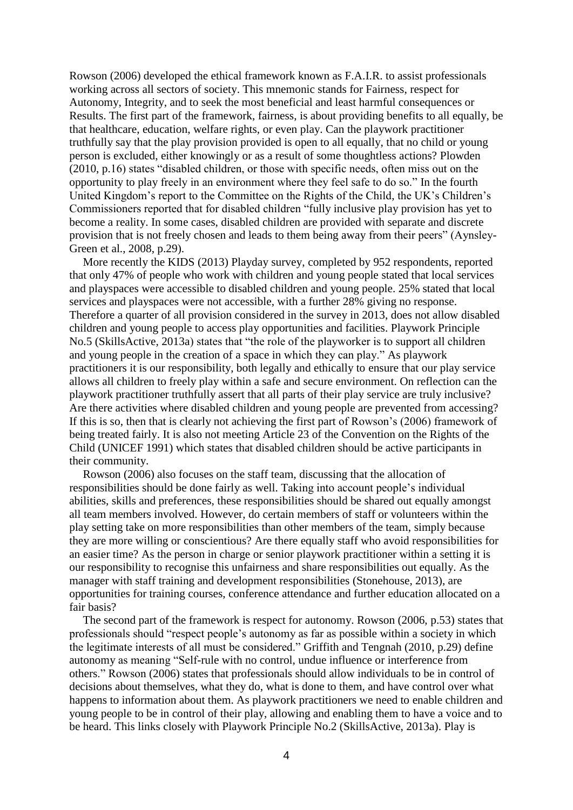Rowson (2006) developed the ethical framework known as F.A.I.R. to assist professionals working across all sectors of society. This mnemonic stands for Fairness, respect for Autonomy, Integrity, and to seek the most beneficial and least harmful consequences or Results. The first part of the framework, fairness, is about providing benefits to all equally, be that healthcare, education, welfare rights, or even play. Can the playwork practitioner truthfully say that the play provision provided is open to all equally, that no child or young person is excluded, either knowingly or as a result of some thoughtless actions? Plowden (2010, p.16) states "disabled children, or those with specific needs, often miss out on the opportunity to play freely in an environment where they feel safe to do so." In the fourth United Kingdom's report to the Committee on the Rights of the Child, the UK's Children's Commissioners reported that for disabled children "fully inclusive play provision has yet to become a reality. In some cases, disabled children are provided with separate and discrete provision that is not freely chosen and leads to them being away from their peers" (Aynsley-Green et al., 2008, p.29).

More recently the KIDS (2013) Playday survey, completed by 952 respondents, reported that only 47% of people who work with children and young people stated that local services and playspaces were accessible to disabled children and young people. 25% stated that local services and playspaces were not accessible, with a further 28% giving no response. Therefore a quarter of all provision considered in the survey in 2013, does not allow disabled children and young people to access play opportunities and facilities. Playwork Principle No.5 (SkillsActive, 2013a) states that "the role of the playworker is to support all children and young people in the creation of a space in which they can play." As playwork practitioners it is our responsibility, both legally and ethically to ensure that our play service allows all children to freely play within a safe and secure environment. On reflection can the playwork practitioner truthfully assert that all parts of their play service are truly inclusive? Are there activities where disabled children and young people are prevented from accessing? If this is so, then that is clearly not achieving the first part of Rowson's (2006) framework of being treated fairly. It is also not meeting Article 23 of the Convention on the Rights of the Child (UNICEF 1991) which states that disabled children should be active participants in their community.

Rowson (2006) also focuses on the staff team, discussing that the allocation of responsibilities should be done fairly as well. Taking into account people's individual abilities, skills and preferences, these responsibilities should be shared out equally amongst all team members involved. However, do certain members of staff or volunteers within the play setting take on more responsibilities than other members of the team, simply because they are more willing or conscientious? Are there equally staff who avoid responsibilities for an easier time? As the person in charge or senior playwork practitioner within a setting it is our responsibility to recognise this unfairness and share responsibilities out equally. As the manager with staff training and development responsibilities (Stonehouse, 2013), are opportunities for training courses, conference attendance and further education allocated on a fair basis?

The second part of the framework is respect for autonomy. Rowson (2006, p.53) states that professionals should "respect people's autonomy as far as possible within a society in which the legitimate interests of all must be considered." Griffith and Tengnah (2010, p.29) define autonomy as meaning "Self-rule with no control, undue influence or interference from others." Rowson (2006) states that professionals should allow individuals to be in control of decisions about themselves, what they do, what is done to them, and have control over what happens to information about them. As playwork practitioners we need to enable children and young people to be in control of their play, allowing and enabling them to have a voice and to be heard. This links closely with Playwork Principle No.2 (SkillsActive, 2013a). Play is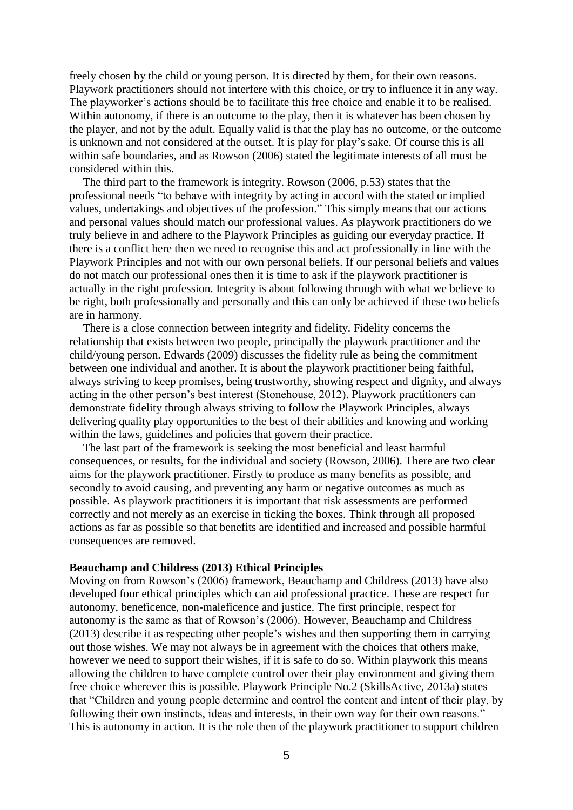freely chosen by the child or young person. It is directed by them, for their own reasons. Playwork practitioners should not interfere with this choice, or try to influence it in any way. The playworker's actions should be to facilitate this free choice and enable it to be realised. Within autonomy, if there is an outcome to the play, then it is whatever has been chosen by the player, and not by the adult. Equally valid is that the play has no outcome, or the outcome is unknown and not considered at the outset. It is play for play's sake. Of course this is all within safe boundaries, and as Rowson (2006) stated the legitimate interests of all must be considered within this.

The third part to the framework is integrity. Rowson (2006, p.53) states that the professional needs "to behave with integrity by acting in accord with the stated or implied values, undertakings and objectives of the profession." This simply means that our actions and personal values should match our professional values. As playwork practitioners do we truly believe in and adhere to the Playwork Principles as guiding our everyday practice. If there is a conflict here then we need to recognise this and act professionally in line with the Playwork Principles and not with our own personal beliefs. If our personal beliefs and values do not match our professional ones then it is time to ask if the playwork practitioner is actually in the right profession. Integrity is about following through with what we believe to be right, both professionally and personally and this can only be achieved if these two beliefs are in harmony.

There is a close connection between integrity and fidelity. Fidelity concerns the relationship that exists between two people, principally the playwork practitioner and the child/young person. Edwards (2009) discusses the fidelity rule as being the commitment between one individual and another. It is about the playwork practitioner being faithful, always striving to keep promises, being trustworthy, showing respect and dignity, and always acting in the other person's best interest (Stonehouse, 2012). Playwork practitioners can demonstrate fidelity through always striving to follow the Playwork Principles, always delivering quality play opportunities to the best of their abilities and knowing and working within the laws, guidelines and policies that govern their practice.

The last part of the framework is seeking the most beneficial and least harmful consequences, or results, for the individual and society (Rowson, 2006). There are two clear aims for the playwork practitioner. Firstly to produce as many benefits as possible, and secondly to avoid causing, and preventing any harm or negative outcomes as much as possible. As playwork practitioners it is important that risk assessments are performed correctly and not merely as an exercise in ticking the boxes. Think through all proposed actions as far as possible so that benefits are identified and increased and possible harmful consequences are removed.

# **Beauchamp and Childress (2013) Ethical Principles**

Moving on from Rowson's (2006) framework, Beauchamp and Childress (2013) have also developed four ethical principles which can aid professional practice. These are respect for autonomy, beneficence, non-maleficence and justice. The first principle, respect for autonomy is the same as that of Rowson's (2006). However, Beauchamp and Childress (2013) describe it as respecting other people's wishes and then supporting them in carrying out those wishes. We may not always be in agreement with the choices that others make, however we need to support their wishes, if it is safe to do so. Within playwork this means allowing the children to have complete control over their play environment and giving them free choice wherever this is possible. Playwork Principle No.2 (SkillsActive, 2013a) states that "Children and young people determine and control the content and intent of their play, by following their own instincts, ideas and interests, in their own way for their own reasons." This is autonomy in action. It is the role then of the playwork practitioner to support children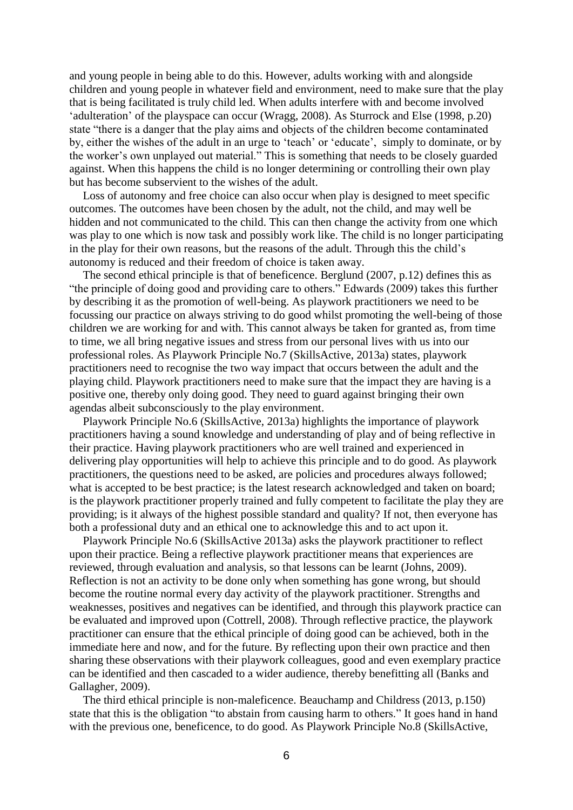and young people in being able to do this. However, adults working with and alongside children and young people in whatever field and environment, need to make sure that the play that is being facilitated is truly child led. When adults interfere with and become involved 'adulteration' of the playspace can occur (Wragg, 2008). As Sturrock and Else (1998, p.20) state "there is a danger that the play aims and objects of the children become contaminated by, either the wishes of the adult in an urge to 'teach' or 'educate', simply to dominate, or by the worker's own unplayed out material." This is something that needs to be closely guarded against. When this happens the child is no longer determining or controlling their own play but has become subservient to the wishes of the adult.

Loss of autonomy and free choice can also occur when play is designed to meet specific outcomes. The outcomes have been chosen by the adult, not the child, and may well be hidden and not communicated to the child. This can then change the activity from one which was play to one which is now task and possibly work like. The child is no longer participating in the play for their own reasons, but the reasons of the adult. Through this the child's autonomy is reduced and their freedom of choice is taken away.

The second ethical principle is that of beneficence. Berglund (2007, p.12) defines this as "the principle of doing good and providing care to others." Edwards (2009) takes this further by describing it as the promotion of well-being. As playwork practitioners we need to be focussing our practice on always striving to do good whilst promoting the well-being of those children we are working for and with. This cannot always be taken for granted as, from time to time, we all bring negative issues and stress from our personal lives with us into our professional roles. As Playwork Principle No.7 (SkillsActive, 2013a) states, playwork practitioners need to recognise the two way impact that occurs between the adult and the playing child. Playwork practitioners need to make sure that the impact they are having is a positive one, thereby only doing good. They need to guard against bringing their own agendas albeit subconsciously to the play environment.

Playwork Principle No.6 (SkillsActive, 2013a) highlights the importance of playwork practitioners having a sound knowledge and understanding of play and of being reflective in their practice. Having playwork practitioners who are well trained and experienced in delivering play opportunities will help to achieve this principle and to do good. As playwork practitioners, the questions need to be asked, are policies and procedures always followed; what is accepted to be best practice; is the latest research acknowledged and taken on board; is the playwork practitioner properly trained and fully competent to facilitate the play they are providing; is it always of the highest possible standard and quality? If not, then everyone has both a professional duty and an ethical one to acknowledge this and to act upon it.

Playwork Principle No.6 (SkillsActive 2013a) asks the playwork practitioner to reflect upon their practice. Being a reflective playwork practitioner means that experiences are reviewed, through evaluation and analysis, so that lessons can be learnt (Johns, 2009). Reflection is not an activity to be done only when something has gone wrong, but should become the routine normal every day activity of the playwork practitioner. Strengths and weaknesses, positives and negatives can be identified, and through this playwork practice can be evaluated and improved upon (Cottrell, 2008). Through reflective practice, the playwork practitioner can ensure that the ethical principle of doing good can be achieved, both in the immediate here and now, and for the future. By reflecting upon their own practice and then sharing these observations with their playwork colleagues, good and even exemplary practice can be identified and then cascaded to a wider audience, thereby benefitting all (Banks and Gallagher, 2009).

The third ethical principle is non-maleficence. Beauchamp and Childress (2013, p.150) state that this is the obligation "to abstain from causing harm to others." It goes hand in hand with the previous one, beneficence, to do good. As Playwork Principle No.8 (SkillsActive,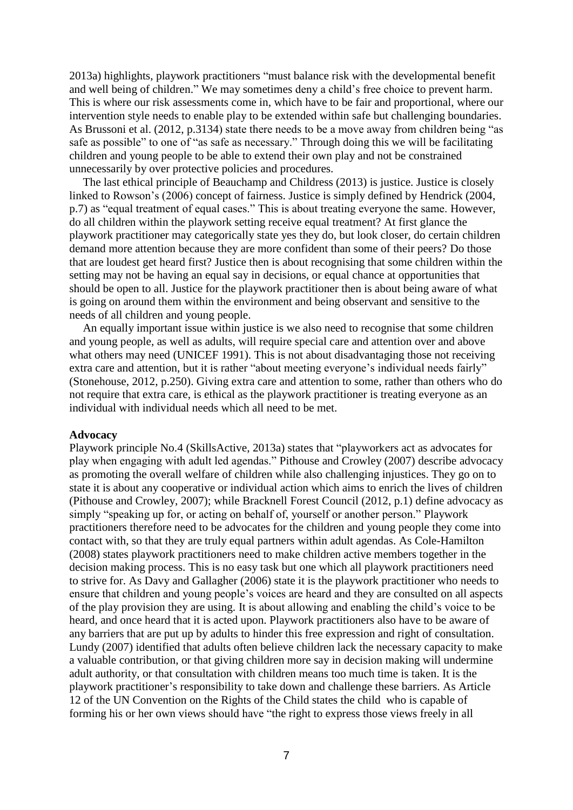2013a) highlights, playwork practitioners "must balance risk with the developmental benefit and well being of children." We may sometimes deny a child's free choice to prevent harm. This is where our risk assessments come in, which have to be fair and proportional, where our intervention style needs to enable play to be extended within safe but challenging boundaries. As Brussoni et al. (2012, p.3134) state there needs to be a move away from children being "as safe as possible" to one of "as safe as necessary." Through doing this we will be facilitating children and young people to be able to extend their own play and not be constrained unnecessarily by over protective policies and procedures.

The last ethical principle of Beauchamp and Childress (2013) is justice. Justice is closely linked to Rowson's (2006) concept of fairness. Justice is simply defined by Hendrick (2004, p.7) as "equal treatment of equal cases." This is about treating everyone the same. However, do all children within the playwork setting receive equal treatment? At first glance the playwork practitioner may categorically state yes they do, but look closer, do certain children demand more attention because they are more confident than some of their peers? Do those that are loudest get heard first? Justice then is about recognising that some children within the setting may not be having an equal say in decisions, or equal chance at opportunities that should be open to all. Justice for the playwork practitioner then is about being aware of what is going on around them within the environment and being observant and sensitive to the needs of all children and young people.

An equally important issue within justice is we also need to recognise that some children and young people, as well as adults, will require special care and attention over and above what others may need (UNICEF 1991). This is not about disadvantaging those not receiving extra care and attention, but it is rather "about meeting everyone's individual needs fairly" (Stonehouse, 2012, p.250). Giving extra care and attention to some, rather than others who do not require that extra care, is ethical as the playwork practitioner is treating everyone as an individual with individual needs which all need to be met.

#### **Advocacy**

Playwork principle No.4 (SkillsActive, 2013a) states that "playworkers act as advocates for play when engaging with adult led agendas." Pithouse and Crowley (2007) describe advocacy as promoting the overall welfare of children while also challenging injustices. They go on to state it is about any cooperative or individual action which aims to enrich the lives of children (Pithouse and Crowley, 2007); while Bracknell Forest Council (2012, p.1) define advocacy as simply "speaking up for, or acting on behalf of, yourself or another person." Playwork practitioners therefore need to be advocates for the children and young people they come into contact with, so that they are truly equal partners within adult agendas. As Cole-Hamilton (2008) states playwork practitioners need to make children active members together in the decision making process. This is no easy task but one which all playwork practitioners need to strive for. As Davy and Gallagher (2006) state it is the playwork practitioner who needs to ensure that children and young people's voices are heard and they are consulted on all aspects of the play provision they are using. It is about allowing and enabling the child's voice to be heard, and once heard that it is acted upon. Playwork practitioners also have to be aware of any barriers that are put up by adults to hinder this free expression and right of consultation. Lundy (2007) identified that adults often believe children lack the necessary capacity to make a valuable contribution, or that giving children more say in decision making will undermine adult authority, or that consultation with children means too much time is taken. It is the playwork practitioner's responsibility to take down and challenge these barriers. As Article 12 of the UN Convention on the Rights of the Child states the child who is capable of forming his or her own views should have "the right to express those views freely in all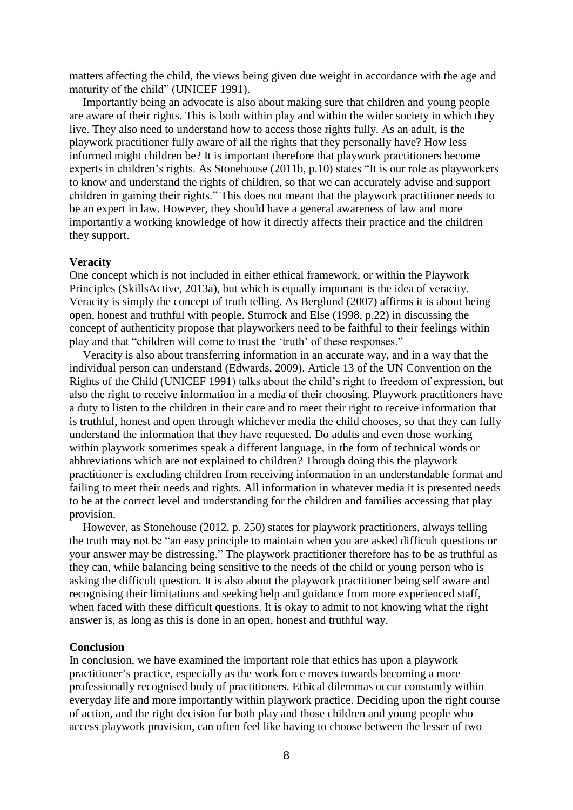matters affecting the child, the views being given due weight in accordance with the age and maturity of the child" (UNICEF 1991).

Importantly being an advocate is also about making sure that children and young people are aware of their rights. This is both within play and within the wider society in which they live. They also need to understand how to access those rights fully. As an adult, is the playwork practitioner fully aware of all the rights that they personally have? How less informed might children be? It is important therefore that playwork practitioners become experts in children's rights. As Stonehouse (2011b, p.10) states "It is our role as playworkers to know and understand the rights of children, so that we can accurately advise and support children in gaining their rights." This does not meant that the playwork practitioner needs to be an expert in law. However, they should have a general awareness of law and more importantly a working knowledge of how it directly affects their practice and the children they support.

#### **Veracity**

One concept which is not included in either ethical framework, or within the Playwork Principles (SkillsActive, 2013a), but which is equally important is the idea of veracity. Veracity is simply the concept of truth telling. As Berglund (2007) affirms it is about being open, honest and truthful with people. Sturrock and Else (1998, p.22) in discussing the concept of authenticity propose that playworkers need to be faithful to their feelings within play and that "children will come to trust the 'truth' of these responses."

Veracity is also about transferring information in an accurate way, and in a way that the individual person can understand (Edwards, 2009). Article 13 of the UN Convention on the Rights of the Child (UNICEF 1991) talks about the child's right to freedom of expression, but also the right to receive information in a media of their choosing. Playwork practitioners have a duty to listen to the children in their care and to meet their right to receive information that is truthful, honest and open through whichever media the child chooses, so that they can fully understand the information that they have requested. Do adults and even those working within playwork sometimes speak a different language, in the form of technical words or abbreviations which are not explained to children? Through doing this the playwork practitioner is excluding children from receiving information in an understandable format and failing to meet their needs and rights. All information in whatever media it is presented needs to be at the correct level and understanding for the children and families accessing that play provision.

However, as Stonehouse (2012, p. 250) states for playwork practitioners, always telling the truth may not be "an easy principle to maintain when you are asked difficult questions or your answer may be distressing." The playwork practitioner therefore has to be as truthful as they can, while balancing being sensitive to the needs of the child or young person who is asking the difficult question. It is also about the playwork practitioner being self aware and recognising their limitations and seeking help and guidance from more experienced staff, when faced with these difficult questions. It is okay to admit to not knowing what the right answer is, as long as this is done in an open, honest and truthful way.

#### **Conclusion**

In conclusion, we have examined the important role that ethics has upon a playwork practitioner's practice, especially as the work force moves towards becoming a more professionally recognised body of practitioners. Ethical dilemmas occur constantly within everyday life and more importantly within playwork practice. Deciding upon the right course of action, and the right decision for both play and those children and young people who access playwork provision, can often feel like having to choose between the lesser of two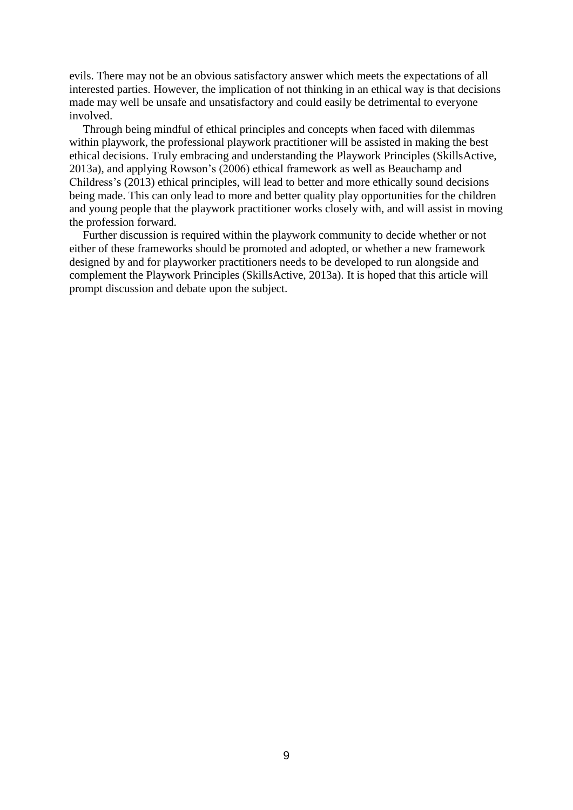evils. There may not be an obvious satisfactory answer which meets the expectations of all interested parties. However, the implication of not thinking in an ethical way is that decisions made may well be unsafe and unsatisfactory and could easily be detrimental to everyone involved.

Through being mindful of ethical principles and concepts when faced with dilemmas within playwork, the professional playwork practitioner will be assisted in making the best ethical decisions. Truly embracing and understanding the Playwork Principles (SkillsActive, 2013a), and applying Rowson's (2006) ethical framework as well as Beauchamp and Childress's (2013) ethical principles, will lead to better and more ethically sound decisions being made. This can only lead to more and better quality play opportunities for the children and young people that the playwork practitioner works closely with, and will assist in moving the profession forward.

Further discussion is required within the playwork community to decide whether or not either of these frameworks should be promoted and adopted, or whether a new framework designed by and for playworker practitioners needs to be developed to run alongside and complement the Playwork Principles (SkillsActive, 2013a). It is hoped that this article will prompt discussion and debate upon the subject.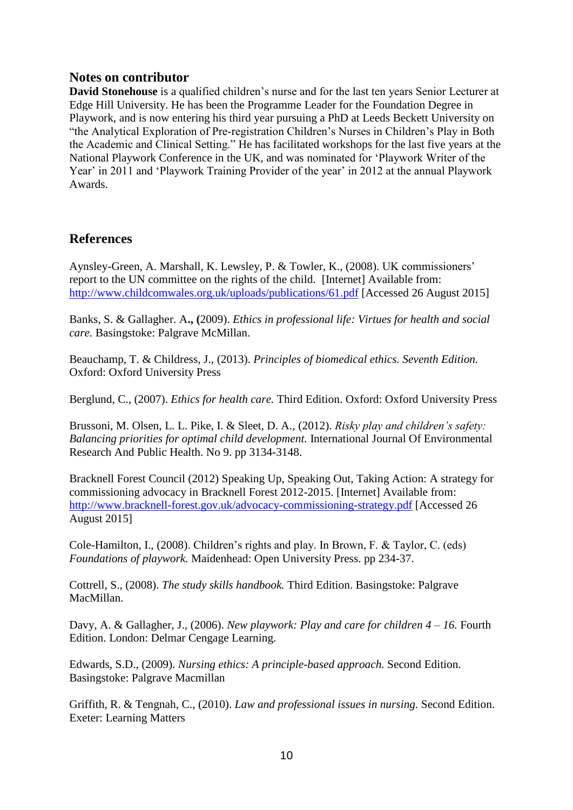# **Notes on contributor**

**David Stonehouse** is a qualified children's nurse and for the last ten years Senior Lecturer at Edge Hill University. He has been the Programme Leader for the Foundation Degree in Playwork, and is now entering his third year pursuing a PhD at Leeds Beckett University on "the Analytical Exploration of Pre-registration Children's Nurses in Children's Play in Both the Academic and Clinical Setting." He has facilitated workshops for the last five years at the National Playwork Conference in the UK, and was nominated for 'Playwork Writer of the Year' in 2011 and 'Playwork Training Provider of the year' in 2012 at the annual Playwork Awards.

# **References**

Aynsley-Green, A. Marshall, K. Lewsley, P. & Towler, K., (2008). UK commissioners' report to the UN committee on the rights of the child. [Internet] Available from: <http://www.childcomwales.org.uk/uploads/publications/61.pdf> [Accessed 26 August 2015]

Banks, S. & Gallagher. A**., (**2009). *Ethics in professional life: Virtues for health and social care.* Basingstoke: Palgrave McMillan.

Beauchamp, T. & Childress, J., (2013). *Principles of biomedical ethics. Seventh Edition.* Oxford: Oxford University Press

Berglund, C., (2007). *Ethics for health care.* Third Edition. Oxford: Oxford University Press

Brussoni, M. Olsen, L. L. Pike, I. & Sleet, D. A., (2012). *Risky play and children's safety: Balancing priorities for optimal child development.* International Journal Of Environmental Research And Public Health. No 9. pp 3134-3148.

Bracknell Forest Council (2012) Speaking Up, Speaking Out, Taking Action: A strategy for commissioning advocacy in Bracknell Forest 2012-2015. [Internet] Available from: <http://www.bracknell-forest.gov.uk/advocacy-commissioning-strategy.pdf> [Accessed 26 August 2015]

Cole-Hamilton, I., (2008). Children's rights and play. In Brown, F. & Taylor, C. (eds) *Foundations of playwork.* Maidenhead: Open University Press. pp 234-37.

Cottrell, S., (2008). *The study skills handbook.* Third Edition. Basingstoke: Palgrave MacMillan.

Davy, A. & Gallagher, J., (2006). *New playwork: Play and care for children 4 – 16.* Fourth Edition. London: Delmar Cengage Learning.

Edwards, S.D., (2009). *Nursing ethics: A principle-based approach.* Second Edition. Basingstoke: Palgrave Macmillan

Griffith, R. & Tengnah, C., (2010). *Law and professional issues in nursing.* Second Edition. Exeter: Learning Matters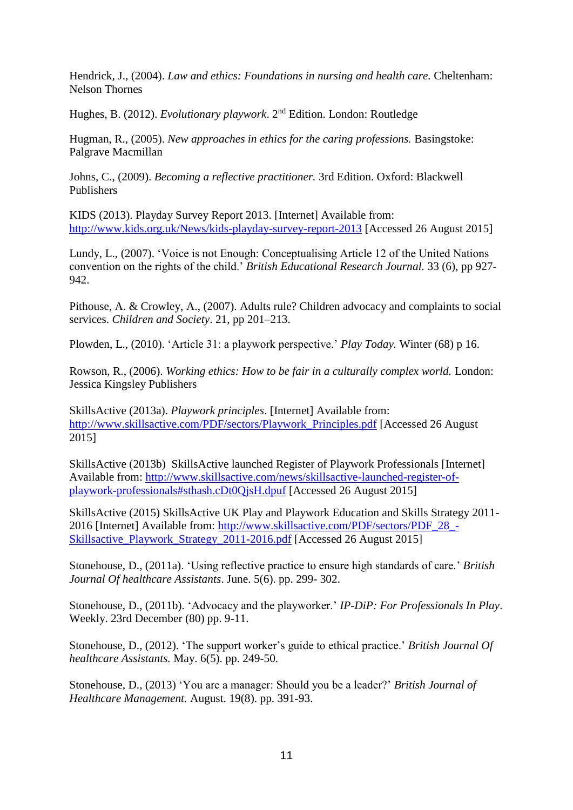Hendrick, J., (2004). *Law and ethics: Foundations in nursing and health care.* Cheltenham: Nelson Thornes

Hughes, B. (2012). *Evolutionary playwork*. 2nd Edition. London: Routledge

Hugman, R., (2005). *New approaches in ethics for the caring professions.* Basingstoke: Palgrave Macmillan

Johns, C., (2009). *Becoming a reflective practitioner.* 3rd Edition. Oxford: Blackwell Publishers

KIDS (2013). Playday Survey Report 2013. [Internet] Available from: <http://www.kids.org.uk/News/kids-playday-survey-report-2013> [Accessed 26 August 2015]

Lundy, L., (2007). 'Voice is not Enough: Conceptualising Article 12 of the United Nations convention on the rights of the child.' *British Educational Research Journal.* 33 (6), pp 927- 942.

Pithouse, A. & Crowley, A., (2007). Adults rule? Children advocacy and complaints to social services. *Children and Society*. 21, pp 201–213.

Plowden, L., (2010). 'Article 31: a playwork perspective.' *Play Today.* Winter (68) p 16.

Rowson, R., (2006). *Working ethics: How to be fair in a culturally complex world.* London: Jessica Kingsley Publishers

SkillsActive (2013a). *Playwork principles*. [Internet] Available from: [http://www.skillsactive.com/PDF/sectors/Playwork\\_Principles.pdf](http://www.skillsactive.com/PDF/sectors/Playwork_Principles.pdf) [Accessed 26 August 2015]

SkillsActive (2013b) SkillsActive launched Register of Playwork Professionals [Internet] Available from: [http://www.skillsactive.com/news/skillsactive-launched-register-of](http://www.skillsactive.com/news/skillsactive-launched-register-of-playwork-professionals#sthash.cDt0QjsH.dpuf)[playwork-professionals#sthash.cDt0QjsH.dpuf](http://www.skillsactive.com/news/skillsactive-launched-register-of-playwork-professionals#sthash.cDt0QjsH.dpuf) [Accessed 26 August 2015]

SkillsActive (2015) SkillsActive UK Play and Playwork Education and Skills Strategy 2011- 2016 [Internet] Available from: [http://www.skillsactive.com/PDF/sectors/PDF\\_28\\_-](http://www.skillsactive.com/PDF/sectors/PDF_28_-Skillsactive_Playwork_Strategy_2011-2016.pdf) [Skillsactive\\_Playwork\\_Strategy\\_2011-2016.pdf](http://www.skillsactive.com/PDF/sectors/PDF_28_-Skillsactive_Playwork_Strategy_2011-2016.pdf) [Accessed 26 August 2015]

Stonehouse, D., (2011a). 'Using reflective practice to ensure high standards of care*.*' *British Journal Of healthcare Assistants*. June. 5(6). pp. 299- 302.

Stonehouse, D., (2011b). 'Advocacy and the playworker.' *IP-DiP: For Professionals In Play*. Weekly. 23rd December (80) pp. 9-11.

Stonehouse, D., (2012). 'The support worker's guide to ethical practice.' *British Journal Of healthcare Assistants.* May. 6(5). pp. 249-50.

Stonehouse, D., (2013) 'You are a manager: Should you be a leader?' *British Journal of Healthcare Management.* August. 19(8). pp. 391-93.